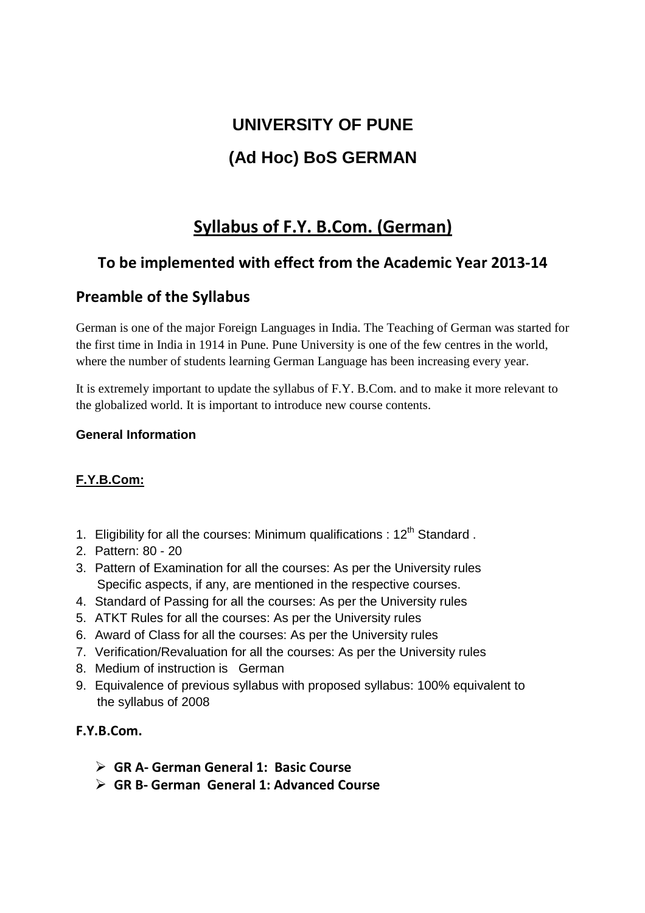# **UNIVERSITY OF PUNE (Ad Hoc) BoS GERMAN**

## **Syllabus of F.Y. B.Com. (German)**

## **To be implemented with effect from the Academic Year 2013-14**

### **Preamble of the Syllabus**

German is one of the major Foreign Languages in India. The Teaching of German was started for the first time in India in 1914 in Pune. Pune University is one of the few centres in the world, where the number of students learning German Language has been increasing every year.

It is extremely important to update the syllabus of F.Y. B.Com. and to make it more relevant to the globalized world. It is important to introduce new course contents.

#### **General Information**

#### **F.Y.B.Com:**

- 1. Eligibility for all the courses: Minimum qualifications :  $12<sup>th</sup>$  Standard.
- 2. Pattern: 80 20
- 3. Pattern of Examination for all the courses: As per the University rules Specific aspects, if any, are mentioned in the respective courses.
- 4. Standard of Passing for all the courses: As per the University rules
- 5. ATKT Rules for all the courses: As per the University rules
- 6. Award of Class for all the courses: As per the University rules
- 7. Verification/Revaluation for all the courses: As per the University rules
- 8. Medium of instruction is German
- 9. Equivalence of previous syllabus with proposed syllabus: 100% equivalent to the syllabus of 2008

#### **F.Y.B.Com.**

- **GR A- German General 1: Basic Course**
- **GR B- German General 1: Advanced Course**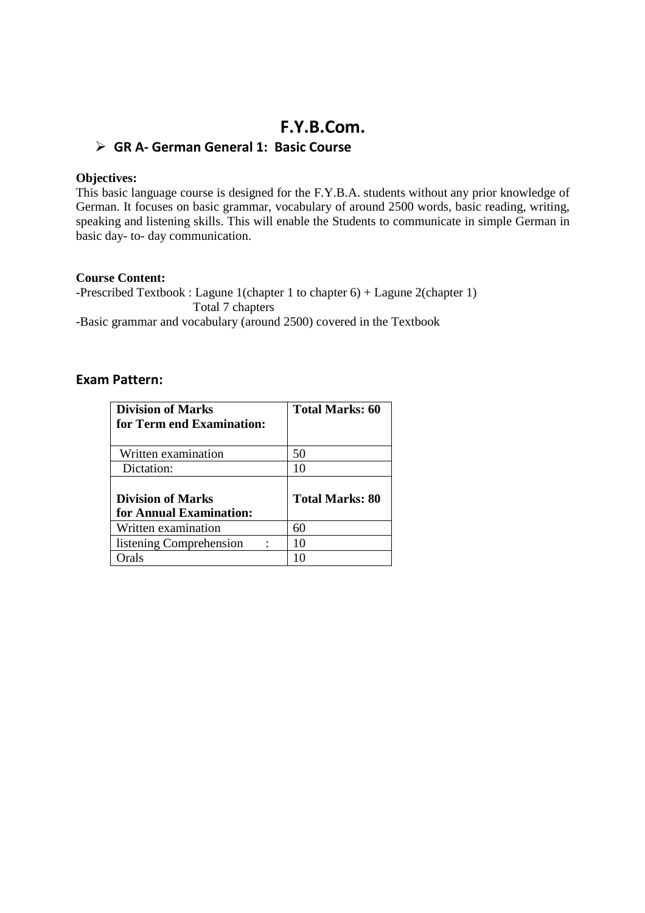## **F.Y.B.Com.**

#### **GR A- German General 1: Basic Course**

#### **Objectives:**

This basic language course is designed for the F.Y.B.A. students without any prior knowledge of German. It focuses on basic grammar, vocabulary of around 2500 words, basic reading, writing, speaking and listening skills. This will enable the Students to communicate in simple German in basic day- to- day communication.

#### **Course Content:**

-Prescribed Textbook : Lagune 1(chapter 1 to chapter 6) + Lagune 2(chapter 1) Total 7 chapters -Basic grammar and vocabulary (around 2500) covered in the Textbook

#### **Exam Pattern:**

| <b>Division of Marks</b><br>for Term end Examination: | <b>Total Marks: 60</b> |
|-------------------------------------------------------|------------------------|
| Written examination                                   | 50                     |
| Dictation:                                            | 10                     |
| <b>Division of Marks</b><br>for Annual Examination:   | <b>Total Marks: 80</b> |
| Written examination                                   | 60                     |
| listening Comprehension                               | 10                     |
| rals                                                  |                        |